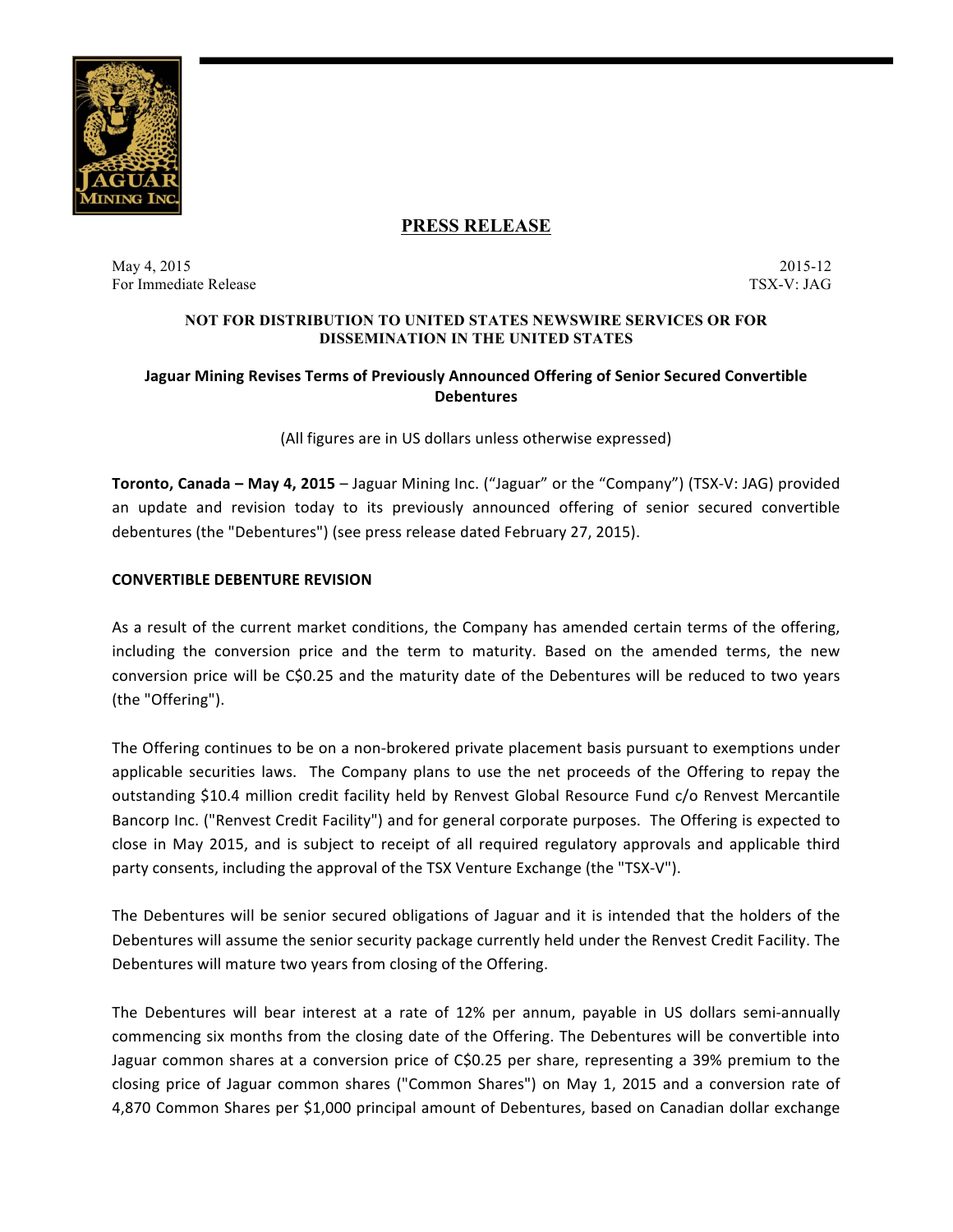

# **PRESS RELEASE**

May 4, 2015 2015-12 For Immediate Release TSX-V: JAG

#### **NOT FOR DISTRIBUTION TO UNITED STATES NEWSWIRE SERVICES OR FOR DISSEMINATION IN THE UNITED STATES**

# **Jaguar Mining Revises Terms of Previously Announced Offering of Senior Secured Convertible Debentures**

(All figures are in US dollars unless otherwise expressed)

**Toronto, Canada – May 4, 2015** – Jaguar Mining Inc. ("Jaguar" or the "Company") (TSX-V: JAG) provided an update and revision today to its previously announced offering of senior secured convertible debentures (the "Debentures") (see press release dated February 27, 2015).

#### **CONVERTIBLE DEBENTURE REVISION**

As a result of the current market conditions, the Company has amended certain terms of the offering, including the conversion price and the term to maturity. Based on the amended terms, the new conversion price will be C\$0.25 and the maturity date of the Debentures will be reduced to two years (the "Offering").

The Offering continues to be on a non-brokered private placement basis pursuant to exemptions under applicable securities laws. The Company plans to use the net proceeds of the Offering to repay the outstanding \$10.4 million credit facility held by Renvest Global Resource Fund c/o Renvest Mercantile Bancorp Inc. ("Renvest Credit Facility") and for general corporate purposes. The Offering is expected to close in May 2015, and is subject to receipt of all required regulatory approvals and applicable third party consents, including the approval of the TSX Venture Exchange (the "TSX-V").

The Debentures will be senior secured obligations of Jaguar and it is intended that the holders of the Debentures will assume the senior security package currently held under the Renvest Credit Facility. The Debentures will mature two years from closing of the Offering.

The Debentures will bear interest at a rate of 12% per annum, payable in US dollars semi-annually commencing six months from the closing date of the Offering. The Debentures will be convertible into Jaguar common shares at a conversion price of C\$0.25 per share, representing a 39% premium to the closing price of Jaguar common shares ("Common Shares") on May 1, 2015 and a conversion rate of 4,870 Common Shares per \$1,000 principal amount of Debentures, based on Canadian dollar exchange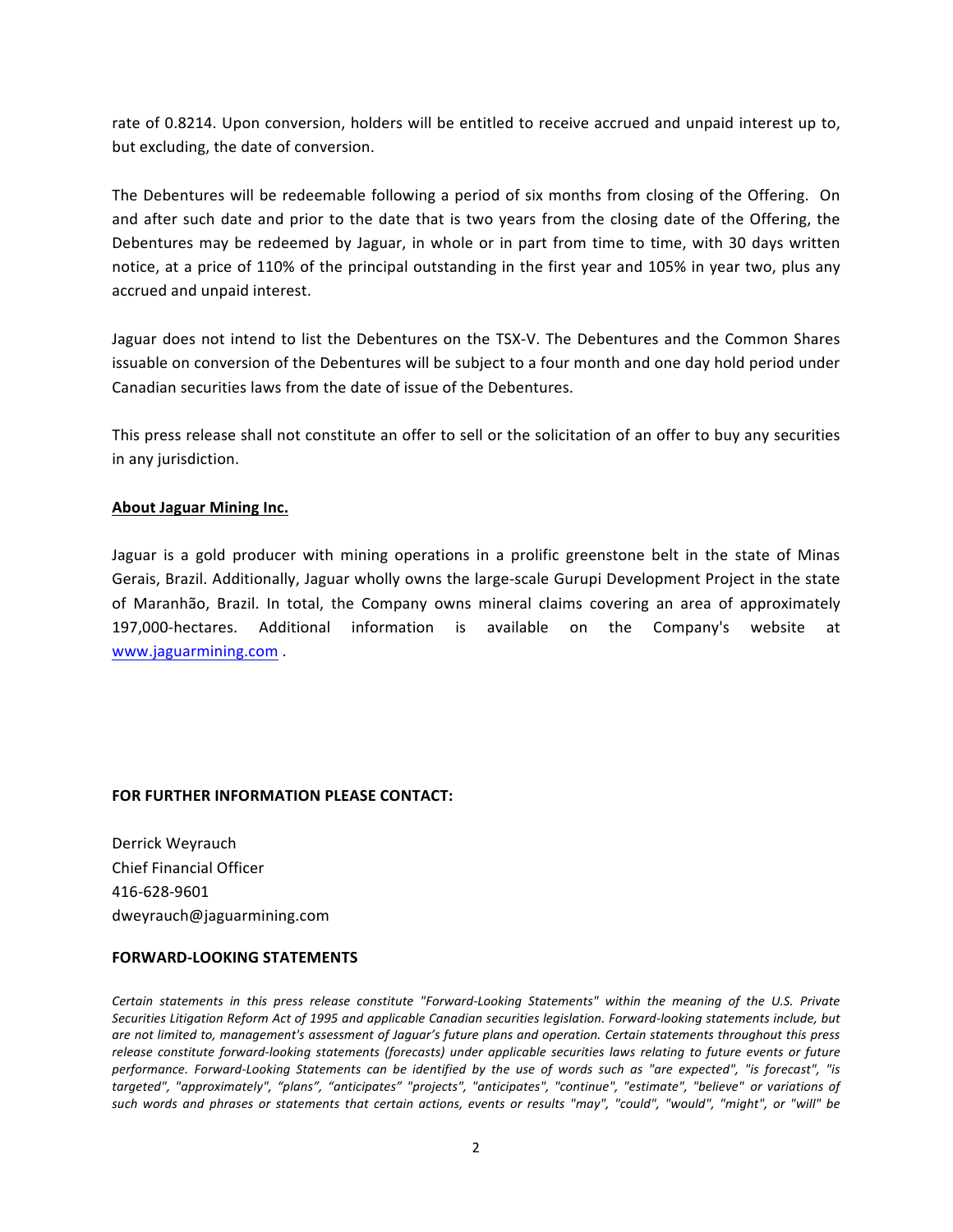rate of 0.8214. Upon conversion, holders will be entitled to receive accrued and unpaid interest up to, but excluding, the date of conversion.

The Debentures will be redeemable following a period of six months from closing of the Offering. On and after such date and prior to the date that is two years from the closing date of the Offering, the Debentures may be redeemed by Jaguar, in whole or in part from time to time, with 30 days written notice, at a price of 110% of the principal outstanding in the first year and 105% in year two, plus any accrued and unpaid interest.

Jaguar does not intend to list the Debentures on the TSX-V. The Debentures and the Common Shares issuable on conversion of the Debentures will be subject to a four month and one day hold period under Canadian securities laws from the date of issue of the Debentures.

This press release shall not constitute an offer to sell or the solicitation of an offer to buy any securities in any jurisdiction.

#### **About Jaguar Mining Inc.**

Jaguar is a gold producer with mining operations in a prolific greenstone belt in the state of Minas Gerais, Brazil. Additionally, Jaguar wholly owns the large-scale Gurupi Development Project in the state of Maranhão, Brazil. In total, the Company owns mineral claims covering an area of approximately 197,000-hectares. Additional information is available on the Company's website at www.jaguarmining.com .

## **FOR FURTHER INFORMATION PLEASE CONTACT:**

Derrick Weyrauch Chief Financial Officer 416-628-9601 dweyrauch@jaguarmining.com

## **FORWARD-LOOKING STATEMENTS**

Certain statements in this press release constitute "Forward-Looking Statements" within the meaning of the U.S. Private Securities Litigation Reform Act of 1995 and applicable Canadian securities legislation. Forward-looking statements include, but are not limited to, management's assessment of Jaguar's future plans and operation. Certain statements throughout this press release constitute forward-looking statements (forecasts) under applicable securities laws relating to future events or future performance. Forward-Looking Statements can be identified by the use of words such as "are expected", "is forecast", "is targeted", "approximately", "plans", "anticipates" "projects", "anticipates", "continue", "estimate", "believe" or variations of such words and phrases or statements that certain actions, events or results "may", "could", "would", "might", or "will" be